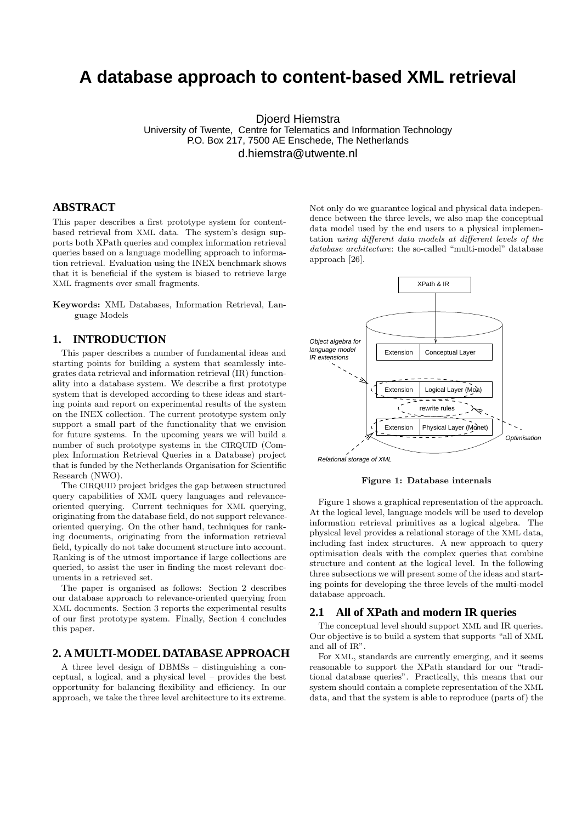# **A database approach to content-based XML retrieval**

Djoerd Hiemstra University of Twente, Centre for Telematics and Information Technology P.O. Box 217, 7500 AE Enschede, The Netherlands d.hiemstra@utwente.nl

# **ABSTRACT**

This paper describes a first prototype system for contentbased retrieval from XML data. The system's design supports both XPath queries and complex information retrieval queries based on a language modelling approach to information retrieval. Evaluation using the INEX benchmark shows that it is beneficial if the system is biased to retrieve large XML fragments over small fragments.

Keywords: XML Databases, Information Retrieval, Language Models

# **1. INTRODUCTION**

This paper describes a number of fundamental ideas and starting points for building a system that seamlessly integrates data retrieval and information retrieval (IR) functionality into a database system. We describe a first prototype system that is developed according to these ideas and starting points and report on experimental results of the system on the INEX collection. The current prototype system only support a small part of the functionality that we envision for future systems. In the upcoming years we will build a number of such prototype systems in the CIRQUID (Complex Information Retrieval Queries in a Database) project that is funded by the Netherlands Organisation for Scientific Research (NWO).

The CIRQUID project bridges the gap between structured query capabilities of XML query languages and relevanceoriented querying. Current techniques for XML querying, originating from the database field, do not support relevanceoriented querying. On the other hand, techniques for ranking documents, originating from the information retrieval field, typically do not take document structure into account. Ranking is of the utmost importance if large collections are queried, to assist the user in finding the most relevant documents in a retrieved set.

The paper is organised as follows: Section 2 describes our database approach to relevance-oriented querying from XML documents. Section 3 reports the experimental results of our first prototype system. Finally, Section 4 concludes this paper.

### **2. A MULTI-MODEL DATABASE APPROACH**

A three level design of DBMSs – distinguishing a conceptual, a logical, and a physical level – provides the best opportunity for balancing flexibility and efficiency. In our approach, we take the three level architecture to its extreme.

Not only do we guarantee logical and physical data independence between the three levels, we also map the conceptual data model used by the end users to a physical implementation using different data models at different levels of the database architecture: the so-called "multi-model" database approach [26].



Figure 1: Database internals

Figure 1 shows a graphical representation of the approach. At the logical level, language models will be used to develop information retrieval primitives as a logical algebra. The physical level provides a relational storage of the XML data, including fast index structures. A new approach to query optimisation deals with the complex queries that combine structure and content at the logical level. In the following three subsections we will present some of the ideas and starting points for developing the three levels of the multi-model database approach.

### **2.1 All of XPath and modern IR queries**

The conceptual level should support XML and IR queries. Our objective is to build a system that supports "all of XML and all of IR".

For XML, standards are currently emerging, and it seems reasonable to support the XPath standard for our "traditional database queries". Practically, this means that our system should contain a complete representation of the XML data, and that the system is able to reproduce (parts of) the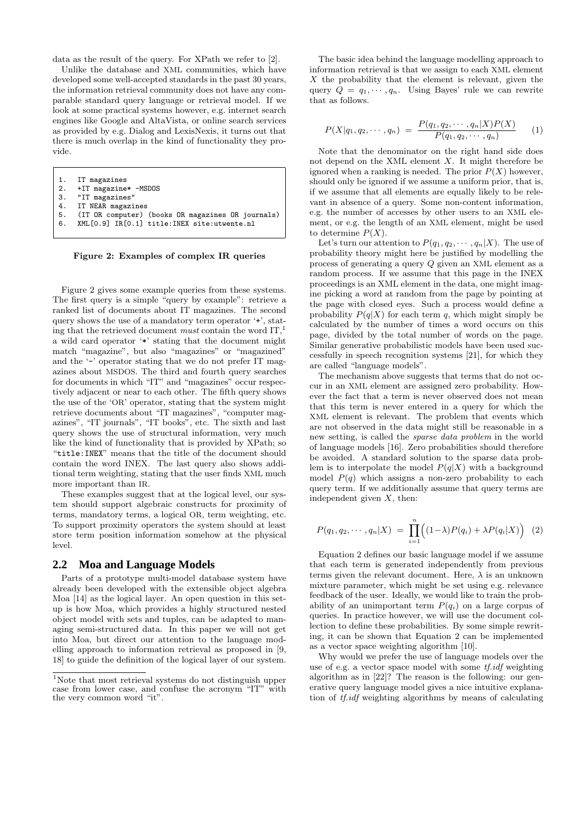data as the result of the query. For XPath we refer to [2].

Unlike the database and XML communities, which have developed some well-accepted standards in the past 30 years, the information retrieval community does not have any comparable standard query language or retrieval model. If we look at some practical systems however, e.g. internet search engines like Google and AltaVista, or online search services as provided by e.g. Dialog and LexisNexis, it turns out that there is much overlap in the kind of functionality they provide.

1. IT magazines<br>2. +IT magazines

- 2. +IT magazine\* -MSDOS<br>3. "IT magazines"
- 3. "IT magazines"<br>4. IT NEAR magazi
- IT NEAR magazines
- 5. (IT OR computer) (books OR magazines OR journals)<br>6. XML[0.9] IR[0.1] title:INEX site:utwente.nl

6. XML[0.9] IR[0.1] title:INEX site:utwente.nl

Figure 2: Examples of complex IR queries

Figure 2 gives some example queries from these systems. The first query is a simple "query by example": retrieve a ranked list of documents about IT magazines. The second query shows the use of a mandatory term operator '+', stating that the retrieved document must contain the word  $IT<sub>1</sub><sup>1</sup>$ a wild card operator '\*' stating that the document might match "magazine", but also "magazines" or "magazined" and the '-' operator stating that we do not prefer IT magazines about MSDOS. The third and fourth query searches for documents in which "IT" and "magazines" occur respectively adjacent or near to each other. The fifth query shows the use of the 'OR' operator, stating that the system might retrieve documents about "IT magazines", "computer magazines", "IT journals", "IT books", etc. The sixth and last query shows the use of structural information, very much like the kind of functionality that is provided by XPath; so "title:INEX" means that the title of the document should contain the word INEX. The last query also shows additional term weighting, stating that the user finds XML much more important than IR.

These examples suggest that at the logical level, our system should support algebraic constructs for proximity of terms, mandatory terms, a logical OR, term weighting, etc. To support proximity operators the system should at least store term position information somehow at the physical level.

### **2.2 Moa and Language Models**

Parts of a prototype multi-model database system have already been developed with the extensible object algebra Moa [14] as the logical layer. An open question in this setup is how Moa, which provides a highly structured nested object model with sets and tuples, can be adapted to managing semi-structured data. In this paper we will not get into Moa, but direct our attention to the language modelling approach to information retrieval as proposed in [9, 18] to guide the definition of the logical layer of our system.

The basic idea behind the language modelling approach to information retrieval is that we assign to each XML element  $X$  the probability that the element is relevant, given the query  $Q = q_1, \dots, q_n$ . Using Bayes' rule we can rewrite that as follows.

$$
P(X|q_1, q_2, \cdots, q_n) = \frac{P(q_1, q_2, \cdots, q_n | X) P(X)}{P(q_1, q_2, \cdots, q_n)} \qquad (1)
$$

Note that the denominator on the right hand side does not depend on the XML element  $X$ . It might therefore be ignored when a ranking is needed. The prior  $P(X)$  however, should only be ignored if we assume a uniform prior, that is, if we assume that all elements are equally likely to be relevant in absence of a query. Some non-content information, e.g. the number of accesses by other users to an XML element, or e.g. the length of an XML element, might be used to determine  $P(X)$ .

Let's turn our attention to  $P(q_1, q_2, \dots, q_n|X)$ . The use of probability theory might here be justified by modelling the process of generating a query  $Q$  given an XML element as a random process. If we assume that this page in the INEX proceedings is an XML element in the data, one might imagine picking a word at random from the page by pointing at the page with closed eyes. Such a process would define a probability  $P(q|X)$  for each term q, which might simply be calculated by the number of times a word occurs on this page, divided by the total number of words on the page. Similar generative probabilistic models have been used successfully in speech recognition systems [21], for which they are called "language models".

The mechanism above suggests that terms that do not occur in an XML element are assigned zero probability. However the fact that a term is never observed does not mean that this term is never entered in a query for which the XML element is relevant. The problem that events which are not observed in the data might still be reasonable in a new setting, is called the sparse data problem in the world of language models [16]. Zero probabilities should therefore be avoided. A standard solution to the sparse data problem is to interpolate the model  $P(q|X)$  with a background model  $P(q)$  which assigns a non-zero probability to each query term. If we additionally assume that query terms are independent given  $X$ , then:

$$
P(q_1, q_2, \cdots, q_n | X) = \prod_{i=1}^n ((1 - \lambda)P(q_i) + \lambda P(q_i | X))
$$
 (2)

Equation 2 defines our basic language model if we assume that each term is generated independently from previous terms given the relevant document. Here,  $\lambda$  is an unknown mixture parameter, which might be set using e.g. relevance feedback of the user. Ideally, we would like to train the probability of an unimportant term  $P(q_i)$  on a large corpus of queries. In practice however, we will use the document collection to define these probabilities. By some simple rewriting, it can be shown that Equation 2 can be implemented as a vector space weighting algorithm [10].

Why would we prefer the use of language models over the use of e.g. a vector space model with some *tf.idf* weighting algorithm as in [22]? The reason is the following: our generative query language model gives a nice intuitive explanation of tf.idf weighting algorithms by means of calculating

<sup>&</sup>lt;sup>1</sup>Note that most retrieval systems do not distinguish upper case from lower case, and confuse the acronym "IT" with the very common word "it".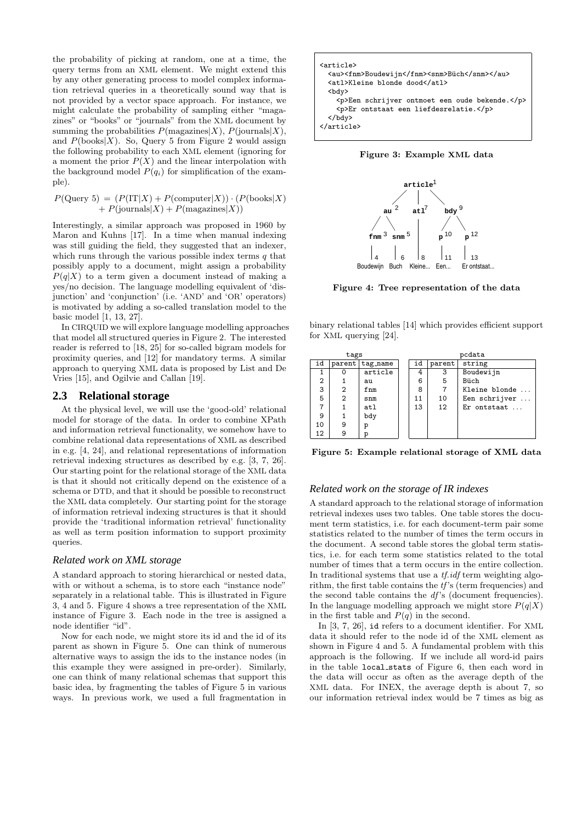the probability of picking at random, one at a time, the query terms from an XML element. We might extend this by any other generating process to model complex information retrieval queries in a theoretically sound way that is not provided by a vector space approach. For instance, we might calculate the probability of sampling either "magazines" or "books" or "journals" from the XML document by summing the probabilities  $P(\text{magazines}|X), P(\text{journals}|X),$ and  $P(\text{books}|X)$ . So, Query 5 from Figure 2 would assign the following probability to each XML element (ignoring for a moment the prior  $P(X)$  and the linear interpolation with the background model  $P(q_i)$  for simplification of the example).

$$
P(\text{Query 5}) = (P(\text{IT}|X) + P(\text{computer}|X)) \cdot (P(\text{books}|X) + P(\text{journals}|X) + P(\text{magazines}|X))
$$

Interestingly, a similar approach was proposed in 1960 by Maron and Kuhns [17]. In a time when manual indexing was still guiding the field, they suggested that an indexer, which runs through the various possible index terms  $q$  that possibly apply to a document, might assign a probability  $P(q|X)$  to a term given a document instead of making a yes/no decision. The language modelling equivalent of 'disjunction' and 'conjunction' (i.e. 'AND' and 'OR' operators) is motivated by adding a so-called translation model to the basic model [1, 13, 27].

In CIRQUID we will explore language modelling approaches that model all structured queries in Figure 2. The interested reader is referred to [18, 25] for so-called bigram models for proximity queries, and [12] for mandatory terms. A similar approach to querying XML data is proposed by List and De Vries [15], and Ogilvie and Callan [19].

### **2.3 Relational storage**

At the physical level, we will use the 'good-old' relational model for storage of the data. In order to combine XPath and information retrieval functionality, we somehow have to combine relational data representations of XML as described in e.g. [4, 24], and relational representations of information retrieval indexing structures as described by e.g. [3, 7, 26]. Our starting point for the relational storage of the XML data is that it should not critically depend on the existence of a schema or DTD, and that it should be possible to reconstruct the XML data completely. Our starting point for the storage of information retrieval indexing structures is that it should provide the 'traditional information retrieval' functionality as well as term position information to support proximity queries.

### *Related work on XML storage*

A standard approach to storing hierarchical or nested data, with or without a schema, is to store each "instance node" separately in a relational table. This is illustrated in Figure 3, 4 and 5. Figure 4 shows a tree representation of the XML instance of Figure 3. Each node in the tree is assigned a node identifier "id".

Now for each node, we might store its id and the id of its parent as shown in Figure 5. One can think of numerous alternative ways to assign the ids to the instance nodes (in this example they were assigned in pre-order). Similarly, one can think of many relational schemas that support this basic idea, by fragmenting the tables of Figure 5 in various ways. In previous work, we used a full fragmentation in







Figure 4: Tree representation of the data

binary relational tables [14] which provides efficient support for XML querying [24].

| tags           |   |                 |  | pcdata                 |    |                        |  |
|----------------|---|-----------------|--|------------------------|----|------------------------|--|
| id             |   | parent tag name |  | id<br>string<br>parent |    |                        |  |
|                |   | article         |  | 4                      | 3  | Boudewijn              |  |
| $\overline{2}$ |   | au              |  | 6                      | 5  | Büch                   |  |
| 3              | 2 | fnm             |  | 8                      | 7  | Kleine blonde          |  |
| 5              | 2 | $_{\text{snm}}$ |  | 11                     | 10 | Een schrijver          |  |
| 7              |   | atl             |  | 13                     | 12 | $Er$ ontstaat $\ldots$ |  |
| 9              |   | bdy             |  |                        |    |                        |  |
| 10             | 9 | р               |  |                        |    |                        |  |
| 12             | 9 | р               |  |                        |    |                        |  |

Figure 5: Example relational storage of XML data

# *Related work on the storage of IR indexes*

A standard approach to the relational storage of information retrieval indexes uses two tables. One table stores the document term statistics, i.e. for each document-term pair some statistics related to the number of times the term occurs in the document. A second table stores the global term statistics, i.e. for each term some statistics related to the total number of times that a term occurs in the entire collection. In traditional systems that use a *tf.idf* term weighting algorithm, the first table contains the  $tf$ 's (term frequencies) and the second table contains the  $df$ 's (document frequencies). In the language modelling approach we might store  $P(q|X)$ in the first table and  $P(q)$  in the second.

In [3, 7, 26], id refers to a document identifier. For XML data it should refer to the node id of the XML element as shown in Figure 4 and 5. A fundamental problem with this approach is the following. If we include all word-id pairs in the table local stats of Figure 6, then each word in the data will occur as often as the average depth of the XML data. For INEX, the average depth is about 7, so our information retrieval index would be 7 times as big as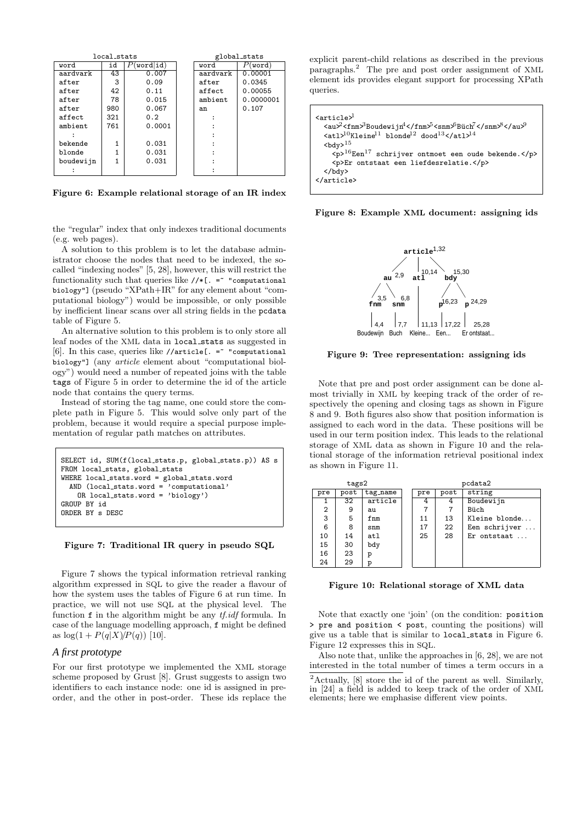|           | local_stats |          |          | global stats |
|-----------|-------------|----------|----------|--------------|
| word      | id          | word id) | word     | (word)       |
| aardvark  | 43          | 0.007    | aardvark | 0.00001      |
| after     | 3           | 0.09     | after    | 0.0345       |
| after     | 42          | 0.11     | affect   | 0.00055      |
| after     | 78          | 0.015    | ambient  | 0.0000001    |
| after     | 980         | 0.067    | an       | 0.107        |
| affect    | 321         | 0.2      |          |              |
| ambient   | 761         | 0.0001   |          |              |
|           |             |          |          |              |
| bekende   |             | 0.031    |          |              |
| blonde    |             | 0.031    |          |              |
| boudewijn |             | 0.031    |          |              |
|           |             |          |          |              |

Figure 6: Example relational storage of an IR index

the "regular" index that only indexes traditional documents (e.g. web pages).

A solution to this problem is to let the database administrator choose the nodes that need to be indexed, the socalled "indexing nodes" [5, 28], however, this will restrict the functionality such that queries like  $//*[. = " computational]$ biology"] (pseudo "XPath+IR" for any element about "computational biology") would be impossible, or only possible by inefficient linear scans over all string fields in the pcdata table of Figure 5.

An alternative solution to this problem is to only store all leaf nodes of the XML data in local stats as suggested in [6]. In this case, queries like //article[. = "computational biology"] (any article element about "computational biology") would need a number of repeated joins with the table tags of Figure 5 in order to determine the id of the article node that contains the query terms.

Instead of storing the tag name, one could store the complete path in Figure 5. This would solve only part of the problem, because it would require a special purpose implementation of regular path matches on attributes.

```
SELECT id, SUM(f(local stats.p, global stats.p)) AS s
FROM local stats, global stats
WHERE local stats.word = global stats.word
  AND (local stats.word = 'computational'
    OR local stats.word = 'biology')
GROUP BY id
ORDER BY s DESC
```
#### Figure 7: Traditional IR query in pseudo SQL

Figure 7 shows the typical information retrieval ranking algorithm expressed in SQL to give the reader a flavour of how the system uses the tables of Figure 6 at run time. In practice, we will not use SQL at the physical level. The function  $f$  in the algorithm might be any  $tf.id f$  formula. In case of the language modelling approach, f might be defined as  $\log(1 + P(q|X)/P(q))$  [10].

### *A first prototype*

For our first prototype we implemented the XML storage scheme proposed by Grust [8]. Grust suggests to assign two identifiers to each instance node: one id is assigned in preorder, and the other in post-order. These ids replace the

explicit parent-child relations as described in the previous paragraphs.<sup>2</sup> The pre and post order assignment of XML element ids provides elegant support for processing XPath queries.

| $\text{carticale}^1$<br><au>2<fnm><sup>3</sup>Boudewijn<sup>4</sup></fnm><sup>5</sup><snm><sup>6</sup>Büch<sup>7</sup></snm><sup>8</sup></au> 9<br>$\text{sat1}$ <sup>10</sup> Kleine <sup>11</sup> blonde <sup>12</sup> dood <sup>13</sup> <sup>14</sup> |
|-----------------------------------------------------------------------------------------------------------------------------------------------------------------------------------------------------------------------------------------------------------|
| $bdy$ <sup>15</sup>                                                                                                                                                                                                                                       |
| $<\!p\!\!>^{16}\!\!E\!en^{17}$ schrijver ontmoet een oude bekende.<br><p>Er ontstaat een liefdesrelatie.</p>                                                                                                                                              |
| $\langle$ /bdy>                                                                                                                                                                                                                                           |
|                                                                                                                                                                                                                                                           |

Figure 8: Example XML document: assigning ids



Figure 9: Tree representation: assigning ids

Note that pre and post order assignment can be done almost trivially in XML by keeping track of the order of respectively the opening and closing tags as shown in Figure 8 and 9. Both figures also show that position information is assigned to each word in the data. These positions will be used in our term position index. This leads to the relational storage of XML data as shown in Figure 10 and the relational storage of the information retrieval positional index as shown in Figure 11.

| tags2 |      |                 |  | pcdata2 |      |                        |
|-------|------|-----------------|--|---------|------|------------------------|
| pre   | post | tag_name        |  | pre     | post | string                 |
|       | 32   | article         |  | 4       | 4    | Boudewijn              |
| 2     | 9    | au              |  |         |      | Büch                   |
| 3     | 5    | fnm             |  | 11      | 13   | Kleine blonde          |
| 6     | 8    | $_{\text{snm}}$ |  | 17      | 22   | Een schrijver $\dots$  |
| 10    | 14   | at1             |  | 25      | 28   | $Er$ ontstaat $\ldots$ |
| 15    | 30   | bdy             |  |         |      |                        |
| 16    | 23   | p               |  |         |      |                        |
| 24    | 29   | р               |  |         |      |                        |

Figure 10: Relational storage of XML data

Note that exactly one 'join' (on the condition: position > pre and position < post, counting the positions) will give us a table that is similar to local stats in Figure 6. Figure 12 expresses this in SQL.

Also note that, unlike the approaches in [6, 28], we are not interested in the total number of times a term occurs in a

<sup>2</sup>Actually, [8] store the id of the parent as well. Similarly, in [24] a field is added to keep track of the order of XML elements; here we emphasise different view points.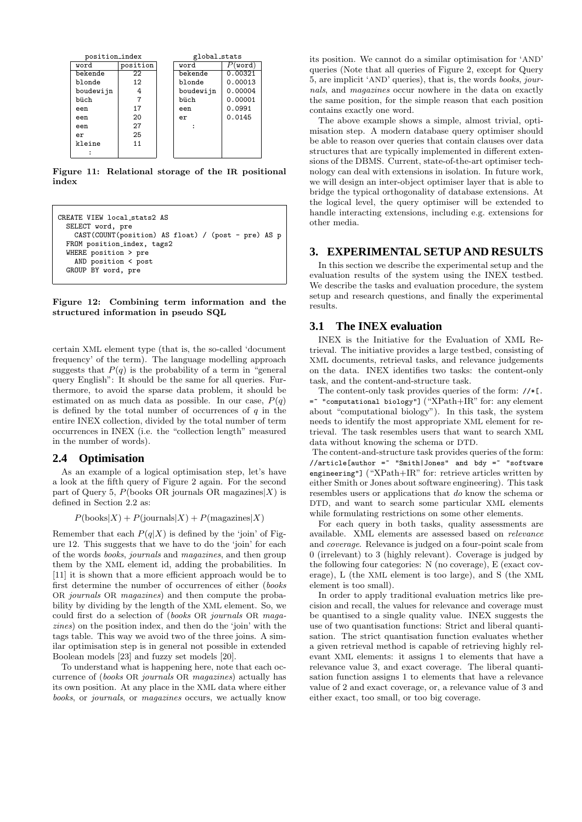| position_index |          |  | global stats |         |  |
|----------------|----------|--|--------------|---------|--|
| word           | position |  | word         | word    |  |
| bekende        | 22       |  | bekende      | 0.00321 |  |
| blonde         | 12       |  | blonde       | 0.00013 |  |
| boudewijn      | 4        |  | boudewijn    | 0.00004 |  |
| büch           | 7        |  | büch         | 0.00001 |  |
| een            | 17       |  | een          | 0.0991  |  |
| een            | 20       |  | er           | 0.0145  |  |
| een            | 27       |  |              |         |  |
| er             | 25       |  |              |         |  |
| kleine         | 11       |  |              |         |  |
|                |          |  |              |         |  |

Figure 11: Relational storage of the IR positional index

```
CREATE VIEW local stats2 AS
  SELECT word, pre
    CAST(COUNT(position) AS float) / (post - pre) AS p
  FROM position index, tags2
  WHERE position > pre
   AND position < post
  GROUP BY word, pre
```
Figure 12: Combining term information and the structured information in pseudo SQL

certain XML element type (that is, the so-called 'document frequency' of the term). The language modelling approach suggests that  $P(q)$  is the probability of a term in "general" query English": It should be the same for all queries. Furthermore, to avoid the sparse data problem, it should be estimated on as much data as possible. In our case,  $P(q)$ is defined by the total number of occurrences of  $q$  in the entire INEX collection, divided by the total number of term occurrences in INEX (i.e. the "collection length" measured in the number of words).

### **2.4 Optimisation**

As an example of a logical optimisation step, let's have a look at the fifth query of Figure 2 again. For the second part of Query 5,  $P(\text{books OR journals OR magazines}|X)$  is defined in Section 2.2 as:

 $P(\text{books}|X) + P(\text{journals}|X) + P(\text{magazines}|X)$ 

Remember that each  $P(q|X)$  is defined by the 'join' of Figure 12. This suggests that we have to do the 'join' for each of the words books, journals and magazines, and then group them by the XML element id, adding the probabilities. In [11] it is shown that a more efficient approach would be to first determine the number of occurrences of either (books OR journals OR magazines) and then compute the probability by dividing by the length of the XML element. So, we could first do a selection of (books OR journals OR magazines) on the position index, and then do the 'join' with the tags table. This way we avoid two of the three joins. A similar optimisation step is in general not possible in extended Boolean models [23] and fuzzy set models [20].

To understand what is happening here, note that each occurrence of (books OR journals OR magazines) actually has its own position. At any place in the XML data where either books, or journals, or magazines occurs, we actually know its position. We cannot do a similar optimisation for 'AND' queries (Note that all queries of Figure 2, except for Query 5, are implicit 'AND' queries), that is, the words books, journals, and magazines occur nowhere in the data on exactly the same position, for the simple reason that each position contains exactly one word.

The above example shows a simple, almost trivial, optimisation step. A modern database query optimiser should be able to reason over queries that contain clauses over data structures that are typically implemented in different extensions of the DBMS. Current, state-of-the-art optimiser technology can deal with extensions in isolation. In future work, we will design an inter-object optimiser layer that is able to bridge the typical orthogonality of database extensions. At the logical level, the query optimiser will be extended to handle interacting extensions, including e.g. extensions for other media.

# **3. EXPERIMENTAL SETUP AND RESULTS**

In this section we describe the experimental setup and the evaluation results of the system using the INEX testbed. We describe the tasks and evaluation procedure, the system setup and research questions, and finally the experimental results.

# **3.1 The INEX evaluation**

INEX is the Initiative for the Evaluation of XML Retrieval. The initiative provides a large testbed, consisting of XML documents, retrieval tasks, and relevance judgements on the data. INEX identifies two tasks: the content-only task, and the content-and-structure task.

The content-only task provides queries of the form: //\*[.  $=$  "computational biology"] ("XPath+IR" for: any element about "computational biology"). In this task, the system needs to identify the most appropriate XML element for retrieval. The task resembles users that want to search XML data without knowing the schema or DTD.

The content-and-structure task provides queries of the form:  $//$ article[author = "Smith|Jones" and bdy = "software engineering"] ("XPath+IR" for: retrieve articles written by either Smith or Jones about software engineering). This task resembles users or applications that do know the schema or DTD, and want to search some particular XML elements while formulating restrictions on some other elements.

For each query in both tasks, quality assessments are available. XML elements are assessed based on relevance and coverage. Relevance is judged on a four-point scale from 0 (irrelevant) to 3 (highly relevant). Coverage is judged by the following four categories: N (no coverage), E (exact coverage), L (the XML element is too large), and S (the XML element is too small).

In order to apply traditional evaluation metrics like precision and recall, the values for relevance and coverage must be quantised to a single quality value. INEX suggests the use of two quantisation functions: Strict and liberal quantisation. The strict quantisation function evaluates whether a given retrieval method is capable of retrieving highly relevant XML elements: it assigns 1 to elements that have a relevance value 3, and exact coverage. The liberal quantisation function assigns 1 to elements that have a relevance value of 2 and exact coverage, or, a relevance value of 3 and either exact, too small, or too big coverage.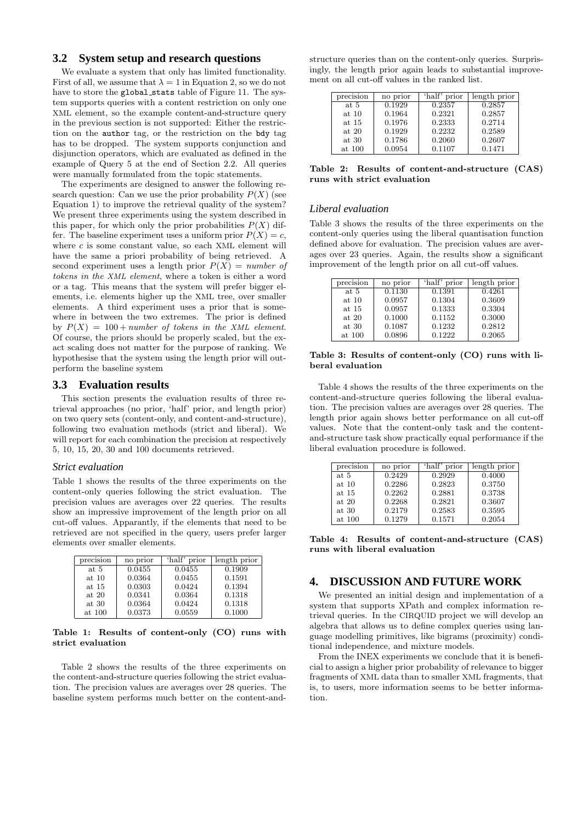### **3.2 System setup and research questions**

We evaluate a system that only has limited functionality. First of all, we assume that  $\lambda = 1$  in Equation 2, so we do not have to store the global stats table of Figure 11. The system supports queries with a content restriction on only one XML element, so the example content-and-structure query in the previous section is not supported: Either the restriction on the author tag, or the restriction on the bdy tag has to be dropped. The system supports conjunction and disjunction operators, which are evaluated as defined in the example of Query 5 at the end of Section 2.2. All queries were manually formulated from the topic statements.

The experiments are designed to answer the following research question: Can we use the prior probability  $P(X)$  (see Equation 1) to improve the retrieval quality of the system? We present three experiments using the system described in this paper, for which only the prior probabilities  $P(X)$  differ. The baseline experiment uses a uniform prior  $P(X) = c$ , where  $c$  is some constant value, so each XML element will have the same a priori probability of being retrieved. A second experiment uses a length prior  $P(X) = number$ tokens in the XML element, where a token is either a word or a tag. This means that the system will prefer bigger elements, i.e. elements higher up the XML tree, over smaller elements. A third experiment uses a prior that is somewhere in between the two extremes. The prior is defined by  $P(X) = 100 + number of tokens in the XML element.$ Of course, the priors should be properly scaled, but the exact scaling does not matter for the purpose of ranking. We hypothesise that the system using the length prior will outperform the baseline system

#### **3.3 Evaluation results**

This section presents the evaluation results of three retrieval approaches (no prior, 'half' prior, and length prior) on two query sets (content-only, and content-and-structure), following two evaluation methods (strict and liberal). We will report for each combination the precision at respectively 5, 10, 15, 20, 30 and 100 documents retrieved.

#### *Strict evaluation*

Table 1 shows the results of the three experiments on the content-only queries following the strict evaluation. The precision values are averages over 22 queries. The results show an impressive improvement of the length prior on all cut-off values. Apparantly, if the elements that need to be retrieved are not specified in the query, users prefer larger elements over smaller elements.

| precision | no prior | 'half' prior | length prior |
|-----------|----------|--------------|--------------|
| at 5      | 0.0455   | 0.0455       | 0.1909       |
| at 10     | 0.0364   | 0.0455       | 0.1591       |
| at 15     | 0.0303   | 0.0424       | 0.1394       |
| at $20$   | 0.0341   | 0.0364       | 0.1318       |
| at 30     | 0.0364   | 0.0424       | 0.1318       |
| at 100    | 0.0373   | 0.0559       | 0.1000       |

Table 1: Results of content-only (CO) runs with strict evaluation

Table 2 shows the results of the three experiments on the content-and-structure queries following the strict evaluation. The precision values are averages over 28 queries. The baseline system performs much better on the content-and-

structure queries than on the content-only queries. Surprisingly, the length prior again leads to substantial improvement on all cut-off values in the ranked list.

| precision | no prior | 'half' prior | length prior |
|-----------|----------|--------------|--------------|
| at 5      | 0.1929   | 0.2357       | 0.2857       |
| at 10     | 0.1964   | 0.2321       | 0.2857       |
| at 15     | 0.1976   | 0.2333       | 0.2714       |
| at $20$   | 0.1929   | 0.2232       | 0.2589       |
| at 30     | 0.1786   | 0.2060       | 0.2607       |
| at 100    | 0.0954   | 0.1107       | 0.1471       |

Table 2: Results of content-and-structure (CAS) runs with strict evaluation

### *Liberal evaluation*

Table 3 shows the results of the three experiments on the content-only queries using the liberal quantisation function defined above for evaluation. The precision values are averages over 23 queries. Again, the results show a significant improvement of the length prior on all cut-off values.

| precision | no prior | 'half' prior | length prior |
|-----------|----------|--------------|--------------|
| at 5      | 0.1130   | 0.1391       | 0.4261       |
| at 10     | 0.0957   | 0.1304       | 0.3609       |
| at 15     | 0.0957   | 0.1333       | 0.3304       |
| at $20$   | 0.1000   | 0.1152       | 0.3000       |
| at 30     | 0.1087   | 0.1232       | 0.2812       |
| at 100    | 0.0896   | 0.1222       | 0.2065       |
|           |          |              |              |

Table 3: Results of content-only (CO) runs with liberal evaluation

Table 4 shows the results of the three experiments on the content-and-structure queries following the liberal evaluation. The precision values are averages over 28 queries. The length prior again shows better performance on all cut-off values. Note that the content-only task and the contentand-structure task show practically equal performance if the liberal evaluation procedure is followed.

| precision | no prior | 'half' prior | length prior |
|-----------|----------|--------------|--------------|
| at 5      | 0.2429   | 0.2929       | 0.4000       |
| at 10     | 0.2286   | 0.2823       | 0.3750       |
| at 15     | 0.2262   | 0.2881       | 0.3738       |
| at $20$   | 0.2268   | 0.2821       | 0.3607       |
| at $30$   | 0.2179   | 0.2583       | 0.3595       |
| at 100    | 0.1279   | 0.1571       | 0.2054       |

Table 4: Results of content-and-structure (CAS) runs with liberal evaluation

# **4. DISCUSSION AND FUTURE WORK**

We presented an initial design and implementation of a system that supports XPath and complex information retrieval queries. In the CIRQUID project we will develop an algebra that allows us to define complex queries using language modelling primitives, like bigrams (proximity) conditional independence, and mixture models.

From the INEX experiments we conclude that it is beneficial to assign a higher prior probability of relevance to bigger fragments of XML data than to smaller XML fragments, that is, to users, more information seems to be better information.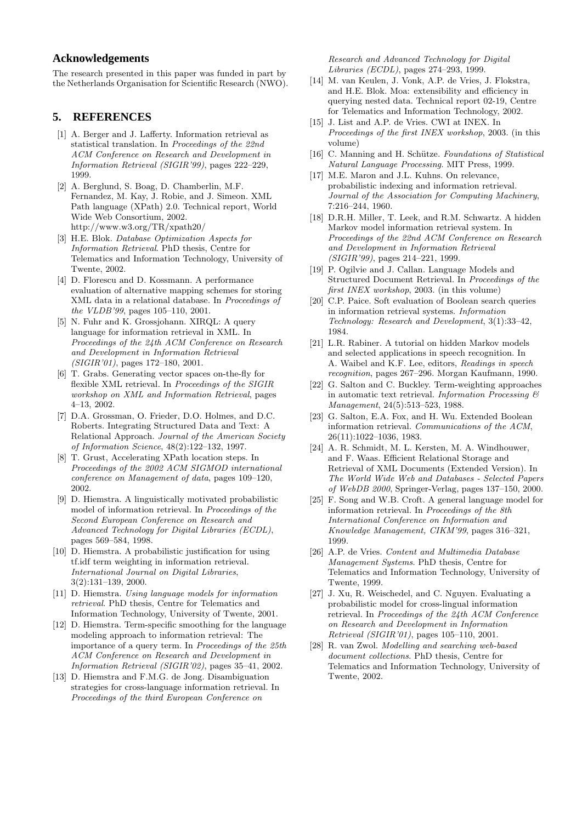# **Acknowledgements**

The research presented in this paper was funded in part by the Netherlands Organisation for Scientific Research (NWO).

# **5. REFERENCES**

- [1] A. Berger and J. Lafferty. Information retrieval as statistical translation. In Proceedings of the 22nd ACM Conference on Research and Development in Information Retrieval (SIGIR'99), pages 222–229, 1999.
- [2] A. Berglund, S. Boag, D. Chamberlin, M.F. Fernandez, M. Kay, J. Robie, and J. Simeon. XML Path language (XPath) 2.0. Technical report, World Wide Web Consortium, 2002. http://www.w3.org/TR/xpath20/
- [3] H.E. Blok. Database Optimization Aspects for Information Retrieval. PhD thesis, Centre for Telematics and Information Technology, University of Twente, 2002.
- [4] D. Florescu and D. Kossmann. A performance evaluation of alternative mapping schemes for storing XML data in a relational database. In Proceedings of the VLDB'99, pages 105–110, 2001.
- [5] N. Fuhr and K. Grossjohann. XIRQL: A query language for information retrieval in XML. In Proceedings of the 24th ACM Conference on Research and Development in Information Retrieval  $(SIGIR'01)$ , pages 172–180, 2001.
- [6] T. Grabs. Generating vector spaces on-the-fly for flexible XML retrieval. In Proceedings of the SIGIR workshop on XML and Information Retrieval, pages 4–13, 2002.
- [7] D.A. Grossman, O. Frieder, D.O. Holmes, and D.C. Roberts. Integrating Structured Data and Text: A Relational Approach. Journal of the American Society of Information Science, 48(2):122–132, 1997.
- [8] T. Grust, Accelerating XPath location steps. In Proceedings of the 2002 ACM SIGMOD international conference on Management of data, pages 109–120, 2002.
- [9] D. Hiemstra. A linguistically motivated probabilistic model of information retrieval. In Proceedings of the Second European Conference on Research and Advanced Technology for Digital Libraries (ECDL), pages 569–584, 1998.
- [10] D. Hiemstra. A probabilistic justification for using tf.idf term weighting in information retrieval. International Journal on Digital Libraries, 3(2):131–139, 2000.
- [11] D. Hiemstra. Using language models for information retrieval. PhD thesis, Centre for Telematics and Information Technology, University of Twente, 2001.
- [12] D. Hiemstra. Term-specific smoothing for the language modeling approach to information retrieval: The importance of a query term. In Proceedings of the 25th ACM Conference on Research and Development in Information Retrieval (SIGIR'02), pages 35–41, 2002.
- [13] D. Hiemstra and F.M.G. de Jong. Disambiguation strategies for cross-language information retrieval. In Proceedings of the third European Conference on

Research and Advanced Technology for Digital Libraries (ECDL), pages 274–293, 1999.

- [14] M. van Keulen, J. Vonk, A.P. de Vries, J. Flokstra, and H.E. Blok. Moa: extensibility and efficiency in querying nested data. Technical report 02-19, Centre for Telematics and Information Technology, 2002.
- [15] J. List and A.P. de Vries. CWI at INEX. In Proceedings of the first INEX workshop, 2003. (in this volume)
- [16] C. Manning and H. Schütze. Foundations of Statistical Natural Language Processing. MIT Press, 1999.
- [17] M.E. Maron and J.L. Kuhns. On relevance, probabilistic indexing and information retrieval. Journal of the Association for Computing Machinery, 7:216–244, 1960.
- [18] D.R.H. Miller, T. Leek, and R.M. Schwartz. A hidden Markov model information retrieval system. In Proceedings of the 22nd ACM Conference on Research and Development in Information Retrieval (SIGIR'99), pages 214–221, 1999.
- [19] P. Ogilvie and J. Callan. Language Models and Structured Document Retrieval. In Proceedings of the first INEX workshop, 2003. (in this volume)
- [20] C.P. Paice. Soft evaluation of Boolean search queries in information retrieval systems. Information Technology: Research and Development, 3(1):33–42, 1984.
- [21] L.R. Rabiner. A tutorial on hidden Markov models and selected applications in speech recognition. In A. Waibel and K.F. Lee, editors, Readings in speech recognition, pages 267–296. Morgan Kaufmann, 1990.
- [22] G. Salton and C. Buckley. Term-weighting approaches in automatic text retrieval. Information Processing  $\mathcal C$ Management, 24(5):513–523, 1988.
- [23] G. Salton, E.A. Fox, and H. Wu. Extended Boolean information retrieval. Communications of the ACM, 26(11):1022–1036, 1983.
- [24] A. R. Schmidt, M. L. Kersten, M. A. Windhouwer, and F. Waas. Efficient Relational Storage and Retrieval of XML Documents (Extended Version). In The World Wide Web and Databases - Selected Papers of WebDB 2000, Springer-Verlag, pages 137–150, 2000.
- [25] F. Song and W.B. Croft. A general language model for information retrieval. In Proceedings of the 8th International Conference on Information and Knowledge Management, CIKM'99, pages 316–321, 1999.
- [26] A.P. de Vries. Content and Multimedia Database Management Systems. PhD thesis, Centre for Telematics and Information Technology, University of Twente, 1999.
- [27] J. Xu, R. Weischedel, and C. Nguyen. Evaluating a probabilistic model for cross-lingual information retrieval. In Proceedings of the 24th ACM Conference on Research and Development in Information Retrieval (SIGIR'01), pages 105–110, 2001.
- [28] R. van Zwol. Modelling and searching web-based document collections. PhD thesis, Centre for Telematics and Information Technology, University of Twente, 2002.